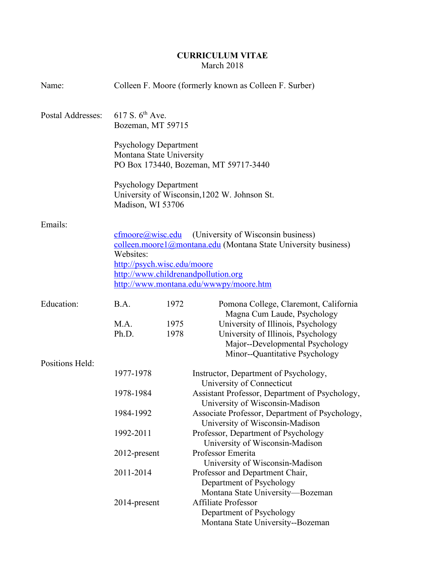# **CURRICULUM VITAE** March 2018

| Name:             | Colleen F. Moore (formerly known as Colleen F. Surber)                                                                                                                                                                                                |              |                                                                                                                                                                              |
|-------------------|-------------------------------------------------------------------------------------------------------------------------------------------------------------------------------------------------------------------------------------------------------|--------------|------------------------------------------------------------------------------------------------------------------------------------------------------------------------------|
| Postal Addresses: | 617 S. $6^{th}$ Ave.<br>Bozeman, MT 59715                                                                                                                                                                                                             |              |                                                                                                                                                                              |
|                   | <b>Psychology Department</b><br>Montana State University<br>PO Box 173440, Bozeman, MT 59717-3440                                                                                                                                                     |              |                                                                                                                                                                              |
|                   | <b>Psychology Department</b><br>University of Wisconsin, 1202 W. Johnson St.<br>Madison, WI 53706                                                                                                                                                     |              |                                                                                                                                                                              |
| Emails:           |                                                                                                                                                                                                                                                       |              |                                                                                                                                                                              |
|                   | cfmoore@wisc.edu<br>(University of Wisconsin business)<br>colleen.moore1@montana.edu (Montana State University business)<br>Websites:<br>http://psych.wisc.edu/moore<br>http://www.childrenandpollution.org<br>http://www.montana.edu/wwwpy/moore.htm |              |                                                                                                                                                                              |
| Education:        | B.A.                                                                                                                                                                                                                                                  | 1972         | Pomona College, Claremont, California                                                                                                                                        |
| Positions Held:   | M.A.<br>Ph.D.                                                                                                                                                                                                                                         | 1975<br>1978 | Magna Cum Laude, Psychology<br>University of Illinois, Psychology<br>University of Illinois, Psychology<br>Major--Developmental Psychology<br>Minor--Quantitative Psychology |
|                   | 1977-1978                                                                                                                                                                                                                                             |              | Instructor, Department of Psychology,<br>University of Connecticut                                                                                                           |
|                   | 1978-1984                                                                                                                                                                                                                                             |              | Assistant Professor, Department of Psychology,<br>University of Wisconsin-Madison                                                                                            |
|                   | 1984-1992                                                                                                                                                                                                                                             |              | Associate Professor, Department of Psychology,<br>University of Wisconsin-Madison                                                                                            |
|                   | 1992-2011                                                                                                                                                                                                                                             |              | Professor, Department of Psychology<br>University of Wisconsin-Madison                                                                                                       |
|                   | 2012-present                                                                                                                                                                                                                                          |              | Professor Emerita<br>University of Wisconsin-Madison                                                                                                                         |
|                   | 2011-2014                                                                                                                                                                                                                                             |              | Professor and Department Chair,<br>Department of Psychology<br>Montana State University-Bozeman                                                                              |
|                   | 2014-present                                                                                                                                                                                                                                          |              | <b>Affiliate Professor</b><br>Department of Psychology<br>Montana State University--Bozeman                                                                                  |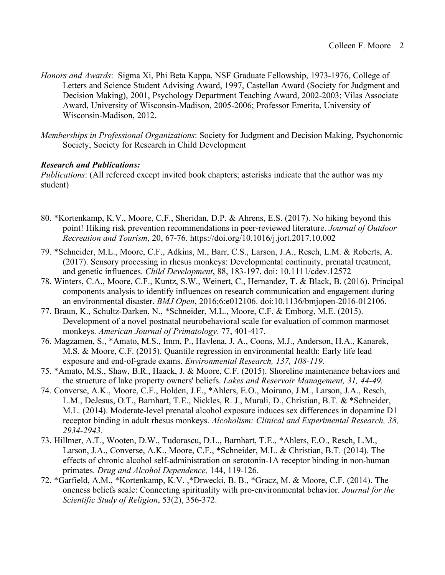- *Honors and Awards*: Sigma Xi, Phi Beta Kappa, NSF Graduate Fellowship, 1973-1976, College of Letters and Science Student Advising Award, 1997, Castellan Award (Society for Judgment and Decision Making), 2001, Psychology Department Teaching Award, 2002-2003; Vilas Associate Award, University of Wisconsin-Madison, 2005-2006; Professor Emerita, University of Wisconsin-Madison, 2012.
- *Memberships in Professional Organizations*: Society for Judgment and Decision Making, Psychonomic Society, Society for Research in Child Development

## *Research and Publications:*

*Publications*: (All refereed except invited book chapters; asterisks indicate that the author was my student)

- 80. \*Kortenkamp, K.V., Moore, C.F., Sheridan, D.P. & Ahrens, E.S. (2017). No hiking beyond this point! Hiking risk prevention recommendations in peer-reviewed literature. *Journal of Outdoor Recreation and Tourism*, 20, 67-76. https://doi.org/10.1016/j.jort.2017.10.002
- 79. \*Schneider, M.L., Moore, C.F., Adkins, M., Barr, C.S., Larson, J.A., Resch, L.M. & Roberts, A. (2017). Sensory processing in rhesus monkeys: Developmental continuity, prenatal treatment, and genetic influences. *Child Development*, 88, 183-197. doi: 10.1111/cdev.12572
- 78. Winters, C.A., Moore, C.F., Kuntz, S.W., Weinert, C., Hernandez, T. & Black, B. (2016). Principal components analysis to identify influences on research communication and engagement during an environmental disaster. *BMJ Open*, 2016;6:e012106. doi:10.1136/bmjopen-2016-012106.
- 77. Braun, K., Schultz-Darken, N., \*Schneider, M.L., Moore, C.F. & Emborg, M.E. (2015). Development of a novel postnatal neurobehavioral scale for evaluation of common marmoset monkeys. *American Journal of Primatology*. 77, 401-417.
- 76. Magzamen, S., \*Amato, M.S., Imm, P., Havlena, J. A., Coons, M.J., Anderson, H.A., Kanarek, M.S. & Moore, C.F. (2015). Quantile regression in environmental health: Early life lead exposure and end-of-grade exams. *Environmental Research, 137, 108-119*.
- 75. \*Amato, M.S., Shaw, B.R., Haack, J. & Moore, C.F. (2015). Shoreline maintenance behaviors and the structure of lake property owners' beliefs. *Lakes and Reservoir Management, 31, 44-49.*
- 74. Converse, A.K., Moore, C.F., Holden, J.E., \*Ahlers, E.O., Moirano, J.M., Larson, J.A., Resch, L.M., DeJesus, O.T., Barnhart, T.E., Nickles, R. J., Murali, D., Christian, B.T. & \*Schneider, M.L. (2014). Moderate-level prenatal alcohol exposure induces sex differences in dopamine D1 receptor binding in adult rhesus monkeys. *Alcoholism: Clinical and Experimental Research, 38, 2934-2943.*
- 73. Hillmer, A.T., Wooten, D.W., Tudorascu, D.L., Barnhart, T.E., \*Ahlers, E.O., Resch, L.M., Larson, J.A., Converse, A.K., Moore, C.F., \*Schneider, M.L. & Christian, B.T. (2014). The effects of chronic alcohol self-administration on serotonin-1A receptor binding in non-human primates. *Drug and Alcohol Dependence,* 144, 119-126.
- 72. \*Garfield, A.M., \*Kortenkamp, K.V. ,\*Drwecki, B. B., \*Gracz, M. & Moore, C.F. (2014). The oneness beliefs scale: Connecting spirituality with pro-environmental behavior. *Journal for the Scientific Study of Religion*, 53(2), 356-372.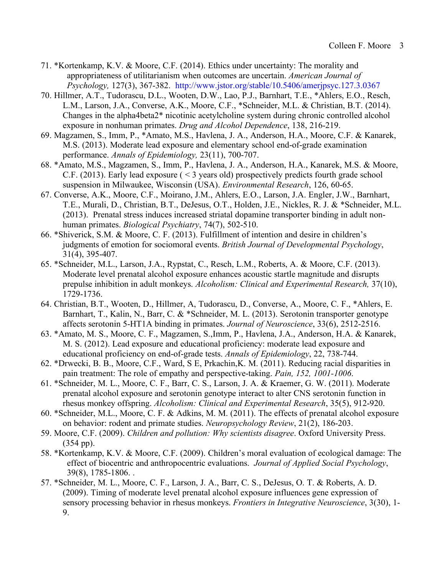- 71. \*Kortenkamp, K.V. & Moore, C.F. (2014). Ethics under uncertainty: The morality and appropriateness of utilitarianism when outcomes are uncertain. *American Journal of Psychology,* 127(3), 367-382. http://www.jstor.org/stable/10.5406/amerjpsyc.127.3.0367
- 70. Hillmer, A.T., Tudorascu, D.L., Wooten, D.W., Lao, P.J., Barnhart, T.E., \*Ahlers, E.O., Resch, L.M., Larson, J.A., Converse, A.K., Moore, C.F., \*Schneider, M.L. & Christian, B.T. (2014). Changes in the alpha4beta2\* nicotinic acetylcholine system during chronic controlled alcohol exposure in nonhuman primates. *Drug and Alcohol Dependence*, 138, 216-219.
- 69. Magzamen, S., Imm, P., \*Amato, M.S., Havlena, J. A., Anderson, H.A., Moore, C.F. & Kanarek, M.S. (2013). Moderate lead exposure and elementary school end-of-grade examination performance. *Annals of Epidemiology,* 23(11), 700-707.
- 68. \*Amato, M.S., Magzamen, S., Imm, P., Havlena, J. A., Anderson, H.A., Kanarek, M.S. & Moore, C.F. (2013). Early lead exposure ( < 3 years old) prospectively predicts fourth grade school suspension in Milwaukee, Wisconsin (USA). *Environmental Research*, 126, 60-65.
- 67. Converse, A.K., Moore, C.F., Moirano, J.M., Ahlers, E.O., Larson, J.A. Engler, J.W., Barnhart, T.E., Murali, D., Christian, B.T., DeJesus, O.T., Holden, J.E., Nickles, R. J. & \*Schneider, M.L. (2013). Prenatal stress induces increased striatal dopamine transporter binding in adult nonhuman primates. *Biological Psychiatry*, 74(7), 502-510.
- 66. \*Shiverick, S.M. & Moore, C. F. (2013). Fulfillment of intention and desire in children's judgments of emotion for sociomoral events. *British Journal of Developmental Psychology*, 31(4), 395-407.
- 65. \*Schneider, M.L., Larson, J.A., Rypstat, C., Resch, L.M., Roberts, A. & Moore, C.F. (2013). Moderate level prenatal alcohol exposure enhances acoustic startle magnitude and disrupts prepulse inhibition in adult monkeys. *Alcoholism: Clinical and Experimental Research,* 37(10), 1729-1736.
- 64. Christian, B.T., Wooten, D., Hillmer, A, Tudorascu, D., Converse, A., Moore, C. F., \*Ahlers, E. Barnhart, T., Kalin, N., Barr, C. & \*Schneider, M. L. (2013). Serotonin transporter genotype affects serotonin 5-HT1A binding in primates. *Journal of Neuroscience*, 33(6), 2512-2516.
- 63. \*Amato, M. S., Moore, C. F., Magzamen, S.,Imm, P., Havlena, J.A., Anderson, H.A. & Kanarek, M. S. (2012). Lead exposure and educational proficiency: moderate lead exposure and educational proficiency on end-of-grade tests. *Annals of Epidemiology*, 22, 738-744.
- 62. \*Drwecki, B. B., Moore, C.F., Ward, S E, Prkachin,K. M. (2011). Reducing racial disparities in pain treatment: The role of empathy and perspective-taking. *Pain, 152, 1001-1006*.
- 61. \*Schneider, M. L., Moore, C. F., Barr, C. S., Larson, J. A. & Kraemer, G. W. (2011). Moderate prenatal alcohol exposure and serotonin genotype interact to alter CNS serotonin function in rhesus monkey offspring. *Alcoholism: Clinical and Experimental Research*, 35(5), 912-920.
- 60. \*Schneider, M.L., Moore, C. F. & Adkins, M. M. (2011). The effects of prenatal alcohol exposure on behavior: rodent and primate studies. *Neuropsychology Review*, 21(2), 186-203.
- 59. Moore, C.F. (2009). *Children and pollution: Why scientists disagree*. Oxford University Press. (354 pp).
- 58. \*Kortenkamp, K.V. & Moore, C.F. (2009). Children's moral evaluation of ecological damage: The effect of biocentric and anthropocentric evaluations. *Journal of Applied Social Psychology*, 39(8), 1785-1806. .
- 57. \*Schneider, M. L., Moore, C. F., Larson, J. A., Barr, C. S., DeJesus, O. T. & Roberts, A. D. (2009). Timing of moderate level prenatal alcohol exposure influences gene expression of sensory processing behavior in rhesus monkeys. *Frontiers in Integrative Neuroscience*, 3(30), 1- 9.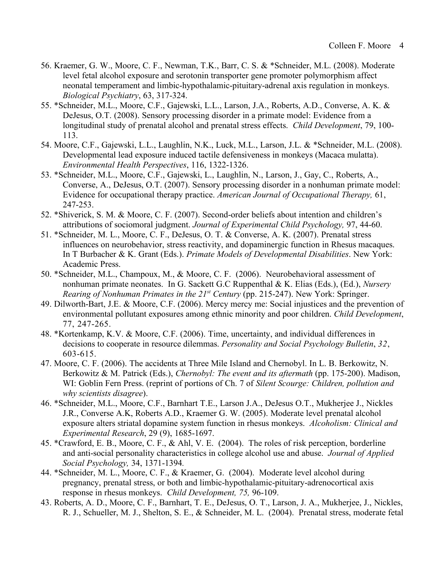- 56. Kraemer, G. W., Moore, C. F., Newman, T.K., Barr, C. S. & \*Schneider, M.L. (2008). Moderate level fetal alcohol exposure and serotonin transporter gene promoter polymorphism affect neonatal temperament and limbic-hypothalamic-pituitary-adrenal axis regulation in monkeys. *Biological Psychiatry*, 63, 317-324.
- 55. \*Schneider, M.L., Moore, C.F., Gajewski, L.L., Larson, J.A., Roberts, A.D., Converse, A. K. & DeJesus, O.T. (2008). Sensory processing disorder in a primate model: Evidence from a longitudinal study of prenatal alcohol and prenatal stress effects. *Child Development*, 79, 100- 113.
- 54. Moore, C.F., Gajewski, L.L., Laughlin, N.K., Luck, M.L., Larson, J.L. & \*Schneider, M.L. (2008). Developmental lead exposure induced tactile defensiveness in monkeys (Macaca mulatta). *Environmental Health Perspectives*, 116, 1322-1326.
- 53. \*Schneider, M.L., Moore, C.F., Gajewski, L., Laughlin, N., Larson, J., Gay, C., Roberts, A., Converse, A., DeJesus, O.T. (2007). Sensory processing disorder in a nonhuman primate model: Evidence for occupational therapy practice. *American Journal of Occupational Therapy,* 61, 247-253.
- 52. \*Shiverick, S. M. & Moore, C. F. (2007). Second-order beliefs about intention and children's attributions of sociomoral judgment. *Journal of Experimental Child Psychology,* 97, 44-60.
- 51. \*Schneider, M. L., Moore, C. F., DeJesus, O. T. & Converse, A. K. (2007). Prenatal stress influences on neurobehavior, stress reactivity, and dopaminergic function in Rhesus macaques. In T Burbacher & K. Grant (Eds.). *Primate Models of Developmental Disabilities*. New York: Academic Press.
- 50. \*Schneider, M.L., Champoux, M., & Moore, C. F. (2006). Neurobehavioral assessment of nonhuman primate neonates. In G. Sackett G.C Ruppenthal & K. Elias (Eds.), (Ed.), *Nursery Rearing of Nonhuman Primates in the 21st Century* (pp. 215-247). New York: Springer.
- 49. Dilworth-Bart, J.E. & Moore, C.F. (2006). Mercy mercy me: Social injustices and the prevention of environmental pollutant exposures among ethnic minority and poor children. *Child Development*, 77, 247-265.
- 48. \*Kortenkamp, K.V. & Moore, C.F. (2006). Time, uncertainty, and individual differences in decisions to cooperate in resource dilemmas. *Personality and Social Psychology Bulletin*, *32*, 603-615.
- 47. Moore, C. F. (2006). The accidents at Three Mile Island and Chernobyl. In L. B. Berkowitz, N. Berkowitz & M. Patrick (Eds.), *Chernobyl: The event and its aftermath* (pp. 175-200). Madison, WI: Goblin Fern Press. (reprint of portions of Ch. 7 of *Silent Scourge: Children, pollution and why scientists disagree*).
- 46. \*Schneider, M.L., Moore, C.F., Barnhart T.E., Larson J.A., DeJesus O.T., Mukherjee J., Nickles J.R., Converse A.K, Roberts A.D., Kraemer G. W. (2005). Moderate level prenatal alcohol exposure alters striatal dopamine system function in rhesus monkeys. *Alcoholism: Clinical and Experimental Research*, 29 (9), 1685-1697.
- 45. \*Crawford, E. B., Moore, C. F., & Ahl, V. E. (2004). The roles of risk perception, borderline and anti-social personality characteristics in college alcohol use and abuse. *Journal of Applied Social Psychology,* 34, 1371-1394*.*
- 44. \*Schneider, M. L., Moore, C. F., & Kraemer, G. (2004). Moderate level alcohol during pregnancy, prenatal stress, or both and limbic-hypothalamic-pituitary-adrenocortical axis response in rhesus monkeys. *Child Development, 75,* 96-109.
- 43. Roberts, A. D., Moore, C. F., Barnhart, T. E., DeJesus, O. T., Larson, J. A., Mukherjee, J., Nickles, R. J., Schueller, M. J., Shelton, S. E., & Schneider, M. L. (2004). Prenatal stress, moderate fetal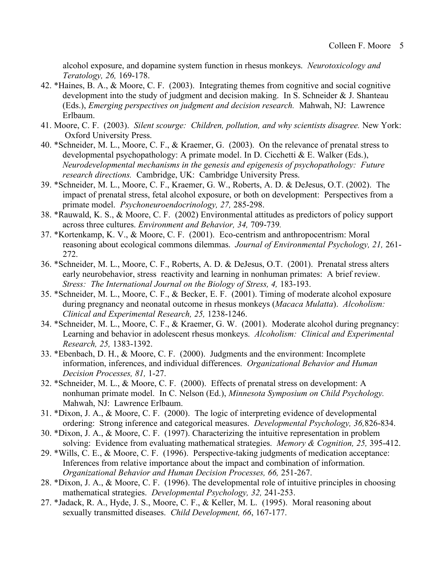alcohol exposure, and dopamine system function in rhesus monkeys. *Neurotoxicology and Teratology, 26,* 169-178.

- 42. \*Haines, B. A., & Moore, C. F. (2003). Integrating themes from cognitive and social cognitive development into the study of judgment and decision making. In S. Schneider & J. Shanteau (Eds.), *Emerging perspectives on judgment and decision research.* Mahwah, NJ: Lawrence Erlbaum.
- 41. Moore, C. F. (2003). *Silent scourge: Children, pollution, and why scientists disagree.* New York: Oxford University Press.
- 40. \*Schneider, M. L., Moore, C. F., & Kraemer, G. (2003). On the relevance of prenatal stress to developmental psychopathology: A primate model. In D. Cicchetti & E. Walker (Eds.), *Neurodevelopmental mechanisms in the genesis and epigenesis of psychopathology: Future research directions.* Cambridge, UK: Cambridge University Press.
- 39. \*Schneider, M. L., Moore, C. F., Kraemer, G. W., Roberts, A. D. & DeJesus, O.T. (2002). The impact of prenatal stress, fetal alcohol exposure, or both on development: Perspectives from a primate model. *Psychoneuroendocrinology, 27,* 285-298.
- 38. \*Rauwald, K. S., & Moore, C. F. (2002) Environmental attitudes as predictors of policy support across three cultures. *Environment and Behavior, 34,* 709-739*.*
- 37. \*Kortenkamp, K. V., & Moore, C. F. (2001). Eco-centrism and anthropocentrism: Moral reasoning about ecological commons dilemmas. *Journal of Environmental Psychology, 21,* 261- 272.
- 36. \*Schneider, M. L., Moore, C. F., Roberts, A. D. & DeJesus, O.T. (2001). Prenatal stress alters early neurobehavior, stress reactivity and learning in nonhuman primates: A brief review. *Stress: The International Journal on the Biology of Stress, 4,* 183-193.
- 35. \*Schneider, M. L., Moore, C. F., & Becker, E. F. (2001). Timing of moderate alcohol exposure during pregnancy and neonatal outcome in rhesus monkeys (*Macaca Mulatta*). *Alcoholism: Clinical and Experimental Research, 25,* 1238-1246.
- 34. \*Schneider, M. L., Moore, C. F., & Kraemer, G. W. (2001). Moderate alcohol during pregnancy: Learning and behavior in adolescent rhesus monkeys. *Alcoholism: Clinical and Experimental Research, 25,* 1383-1392.
- 33. \*Ebenbach, D. H., & Moore, C. F. (2000). Judgments and the environment: Incomplete information, inferences, and individual differences. *Organizational Behavior and Human Decision Processes, 81,* 1-27.
- 32. \*Schneider, M. L., & Moore, C. F. (2000). Effects of prenatal stress on development: A nonhuman primate model. In C. Nelson (Ed.), *Minnesota Symposium on Child Psychology.* Mahwah, NJ: Lawrence Erlbaum.
- 31. \*Dixon, J. A., & Moore, C. F. (2000). The logic of interpreting evidence of developmental ordering: Strong inference and categorical measures. *Developmental Psychology, 36,*826-834.
- 30. \*Dixon, J. A., & Moore, C. F. (1997). Characterizing the intuitive representation in problem solving: Evidence from evaluating mathematical strategies. *Memory & Cognition, 25,* 395-412.
- 29. \*Wills, C. E., & Moore, C. F. (1996). Perspective-taking judgments of medication acceptance: Inferences from relative importance about the impact and combination of information. *Organizational Behavior and Human Decision Processes, 66,* 251-267.
- 28. \*Dixon, J. A., & Moore, C. F. (1996). The developmental role of intuitive principles in choosing mathematical strategies. *Developmental Psychology, 32,* 241-253.
- 27. \*Jadack, R. A., Hyde, J. S., Moore, C. F., & Keller, M. L. (1995). Moral reasoning about sexually transmitted diseases. *Child Development, 66*, 167-177.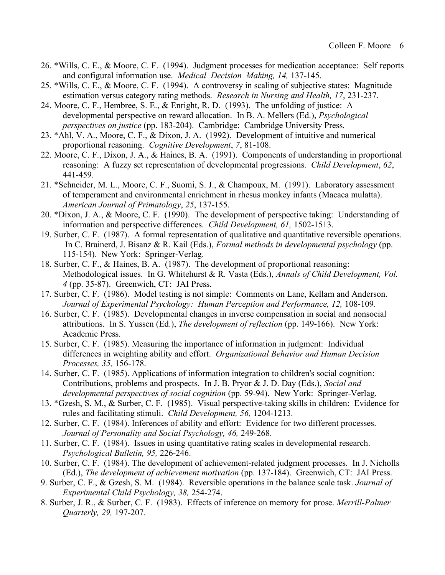- 26. \*Wills, C. E., & Moore, C. F. (1994). Judgment processes for medication acceptance: Self reports and configural information use. *Medical Decision Making, 14,* 137-145.
- 25. \*Wills, C. E., & Moore, C. F. (1994). A controversy in scaling of subjective states: Magnitude estimation versus category rating methods. *Research in Nursing and Health, 17*, 231-237.
- 24. Moore, C. F., Hembree, S. E., & Enright, R. D. (1993). The unfolding of justice: A developmental perspective on reward allocation. In B. A. Mellers (Ed.), *Psychological perspectives on justice* (pp. 183-204). Cambridge: Cambridge University Press.
- 23. \*Ahl, V. A., Moore, C. F., & Dixon, J. A. (1992). Development of intuitive and numerical proportional reasoning. *Cognitive Development*, *7*, 81-108.
- 22. Moore, C. F., Dixon, J. A., & Haines, B. A. (1991). Components of understanding in proportional reasoning: A fuzzy set representation of developmental progressions. *Child Development*, *62*, 441-459.
- 21. \*Schneider, M. L., Moore, C. F., Suomi, S. J., & Champoux, M. (1991). Laboratory assessment of temperament and environmental enrichment in rhesus monkey infants (Macaca mulatta). *American Journal of Primatology*, *25*, 137-155.
- 20. \*Dixon, J. A., & Moore, C. F. (1990). The development of perspective taking: Understanding of information and perspective differences. *Child Development, 61,* 1502-1513.
- 19. Surber, C. F. (1987). A formal representation of qualitative and quantitative reversible operations. In C. Brainerd, J. Bisanz & R. Kail (Eds.), *Formal methods in developmental psychology* (pp. 115-154). New York: Springer-Verlag.
- 18. Surber, C. F., & Haines, B. A. (1987). The development of proportional reasoning: Methodological issues. In G. Whitehurst & R. Vasta (Eds.), *Annals of Child Development, Vol. 4* (pp. 35-87). Greenwich, CT: JAI Press.
- 17. Surber, C. F. (1986). Model testing is not simple: Comments on Lane, Kellam and Anderson. Journal of Experimental Psychology: Human Perception and Performance, 12, 108-109.
- 16. Surber, C. F. (1985). Developmental changes in inverse compensation in social and nonsocial attributions. In S. Yussen (Ed.), *The development of reflection* (pp. 149-166). New York: Academic Press.
- 15. Surber, C. F. (1985). Measuring the importance of information in judgment: Individual differences in weighting ability and effort. *Organizational Behavior and Human Decision Processes, 35,* 156-178.
- 14. Surber, C. F. (1985). Applications of information integration to children's social cognition: Contributions, problems and prospects. In J. B. Pryor & J. D. Day (Eds.), *Social and developmental perspectives of social cognition* (pp. 59-94). New York: Springer-Verlag.
- 13. \*Gzesh, S. M., & Surber, C. F. (1985). Visual perspective-taking skills in children: Evidence for rules and facilitating stimuli. *Child Development, 56,* 1204-1213.
- 12. Surber, C. F. (1984). Inferences of ability and effort: Evidence for two different processes. *Journal of Personality and Social Psychology, 46,* 249-268.
- 11. Surber, C. F. (1984). Issues in using quantitative rating scales in developmental research. *Psychological Bulletin, 95,* 226-246.
- 10. Surber, C. F. (1984). The development of achievement-related judgment processes. In J. Nicholls (Ed.), *The development of achievement motivation* (pp. 137-184). Greenwich, CT: JAI Press.
- 9. Surber, C. F., & Gzesh, S. M. (1984). Reversible operations in the balance scale task. *Journal of Experimental Child Psychology, 38,* 254-274.
- 8. Surber, J. R., & Surber, C. F. (1983). Effects of inference on memory for prose. *Merrill-Palmer Quarterly, 29,* 197-207.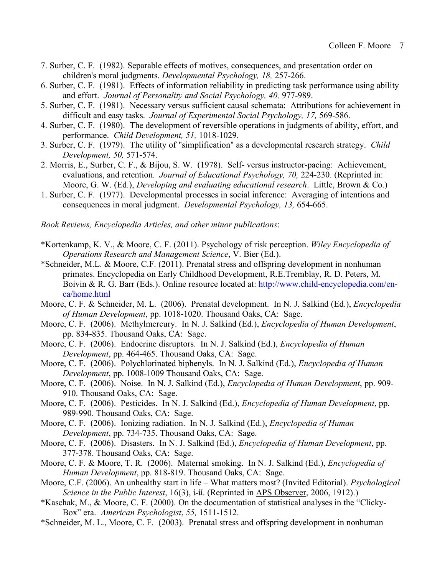- 7. Surber, C. F. (1982). Separable effects of motives, consequences, and presentation order on children's moral judgments. *Developmental Psychology, 18,* 257-266.
- 6. Surber, C. F. (1981). Effects of information reliability in predicting task performance using ability and effort. *Journal of Personality and Social Psychology, 40,* 977-989.
- 5. Surber, C. F. (1981). Necessary versus sufficient causal schemata: Attributions for achievement in difficult and easy tasks. *Journal of Experimental Social Psychology, 17,* 569-586.
- 4. Surber, C. F. (1980). The development of reversible operations in judgments of ability, effort, and performance. *Child Development, 51,* 1018-1029.
- 3. Surber, C. F. (1979). The utility of "simplification" as a developmental research strategy. *Child Development, 50,* 571-574.
- 2. Morris, E., Surber, C. F., & Bijou, S. W. (1978). Self- versus instructor-pacing: Achievement, evaluations, and retention. *Journal of Educational Psychology, 70,* 224-230. (Reprinted in: Moore, G. W. (Ed.), *Developing and evaluating educational research*. Little, Brown & Co.)
- 1. Surber, C. F. (1977). Developmental processes in social inference: Averaging of intentions and consequences in moral judgment. *Developmental Psychology, 13,* 654-665.

*Book Reviews, Encyclopedia Articles, and other minor publications*:

- \*Kortenkamp, K. V., & Moore, C. F. (2011). Psychology of risk perception. *Wiley Encyclopedia of Operations Research and Management Science*, V. Bier (Ed.).
- \*Schneider, M.L. & Moore, C.F. (2011). Prenatal stress and offspring development in nonhuman primates. Encyclopedia on Early Childhood Development, R.E.Tremblay, R. D. Peters, M. Boivin & R. G. Barr (Eds.). Online resource located at: http://www.child-encyclopedia.com/enca/home.html
- Moore, C. F. & Schneider, M. L. (2006). Prenatal development. In N. J. Salkind (Ed.), *Encyclopedia of Human Development*, pp. 1018-1020. Thousand Oaks, CA: Sage.
- Moore, C. F. (2006). Methylmercury. In N. J. Salkind (Ed.), *Encyclopedia of Human Development*, pp. 834-835. Thousand Oaks, CA: Sage.
- Moore, C. F. (2006). Endocrine disruptors. In N. J. Salkind (Ed.), *Encyclopedia of Human Development*, pp. 464-465. Thousand Oaks, CA: Sage.
- Moore, C. F. (2006). Polychlorinated biphenyls. In N. J. Salkind (Ed.), *Encyclopedia of Human Development*, pp. 1008-1009 Thousand Oaks, CA: Sage.
- Moore, C. F. (2006). Noise. In N. J. Salkind (Ed.), *Encyclopedia of Human Development*, pp. 909- 910. Thousand Oaks, CA: Sage.
- Moore, C. F. (2006). Pesticides. In N. J. Salkind (Ed.), *Encyclopedia of Human Development*, pp. 989-990. Thousand Oaks, CA: Sage.
- Moore, C. F. (2006). Ionizing radiation. In N. J. Salkind (Ed.), *Encyclopedia of Human Development*, pp. 734-735. Thousand Oaks, CA: Sage.
- Moore, C. F. (2006). Disasters. In N. J. Salkind (Ed.), *Encyclopedia of Human Development*, pp. 377-378. Thousand Oaks, CA: Sage.
- Moore, C. F. & Moore, T. R. (2006). Maternal smoking. In N. J. Salkind (Ed.), *Encyclopedia of Human Development*, pp. 818-819. Thousand Oaks, CA: Sage.
- Moore, C.F. (2006). An unhealthy start in life What matters most? (Invited Editorial). *Psychological Science in the Public Interest*, 16(3), ί-ίί. (Reprinted in APS Observer, 2006, 1912).)
- \*Kaschak, M., & Moore, C. F. (2000). On the documentation of statistical analyses in the "Clicky-Box" era. *American Psychologist*, *55,* 1511-1512.
- \*Schneider, M. L., Moore, C. F. (2003). Prenatal stress and offspring development in nonhuman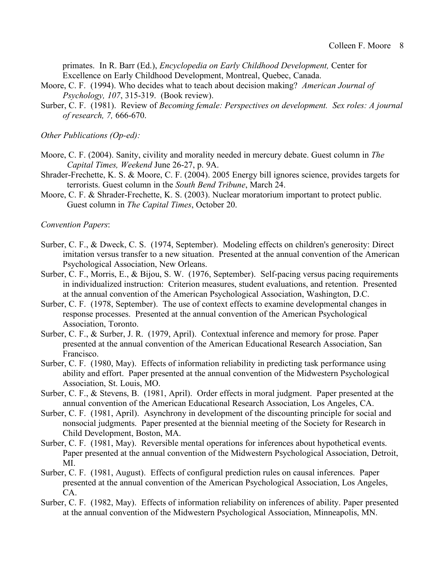primates. In R. Barr (Ed.), *Encyclopedia on Early Childhood Development,* Center for Excellence on Early Childhood Development, Montreal, Quebec, Canada.

- Moore, C. F. (1994). Who decides what to teach about decision making? *American Journal of Psychology, 107*, 315-319. (Book review).
- Surber, C. F. (1981). Review of *Becoming female: Perspectives on development. Sex roles: A journal of research, 7,* 666-670.

*Other Publications (Op-ed):*

- Moore, C. F. (2004). Sanity, civility and morality needed in mercury debate. Guest column in *The Capital Times, Weekend* June 26-27, p. 9A.
- Shrader-Frechette, K. S. & Moore, C. F. (2004). 2005 Energy bill ignores science, provides targets for terrorists. Guest column in the *South Bend Tribune*, March 24.
- Moore, C. F. & Shrader-Frechette, K. S. (2003). Nuclear moratorium important to protect public. Guest column in *The Capital Times*, October 20.

*Convention Papers*:

- Surber, C. F., & Dweck, C. S. (1974, September). Modeling effects on children's generosity: Direct imitation versus transfer to a new situation. Presented at the annual convention of the American Psychological Association, New Orleans.
- Surber, C. F., Morris, E., & Bijou, S. W. (1976, September). Self-pacing versus pacing requirements in individualized instruction: Criterion measures, student evaluations, and retention. Presented at the annual convention of the American Psychological Association, Washington, D.C.
- Surber, C. F. (1978, September). The use of context effects to examine developmental changes in response processes. Presented at the annual convention of the American Psychological Association, Toronto.
- Surber, C. F., & Surber, J. R. (1979, April). Contextual inference and memory for prose. Paper presented at the annual convention of the American Educational Research Association, San Francisco.
- Surber, C. F. (1980, May). Effects of information reliability in predicting task performance using ability and effort. Paper presented at the annual convention of the Midwestern Psychological Association, St. Louis, MO.
- Surber, C. F., & Stevens, B. (1981, April). Order effects in moral judgment. Paper presented at the annual convention of the American Educational Research Association, Los Angeles, CA.
- Surber, C. F. (1981, April). Asynchrony in development of the discounting principle for social and nonsocial judgments. Paper presented at the biennial meeting of the Society for Research in Child Development, Boston, MA.
- Surber, C. F. (1981, May). Reversible mental operations for inferences about hypothetical events. Paper presented at the annual convention of the Midwestern Psychological Association, Detroit, MI.
- Surber, C. F. (1981, August). Effects of configural prediction rules on causal inferences. Paper presented at the annual convention of the American Psychological Association, Los Angeles, CA.
- Surber, C. F. (1982, May). Effects of information reliability on inferences of ability. Paper presented at the annual convention of the Midwestern Psychological Association, Minneapolis, MN.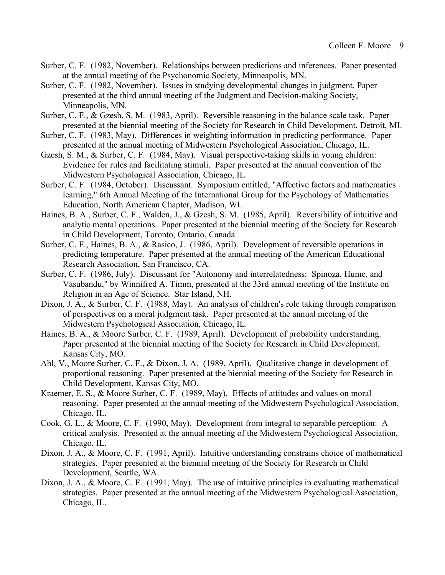- Surber, C. F. (1982, November). Relationships between predictions and inferences. Paper presented at the annual meeting of the Psychonomic Society, Minneapolis, MN.
- Surber, C. F. (1982, November). Issues in studying developmental changes in judgment. Paper presented at the third annual meeting of the Judgment and Decision-making Society, Minneapolis, MN.
- Surber, C. F., & Gzesh, S. M. (1983, April). Reversible reasoning in the balance scale task. Paper presented at the biennial meeting of the Society for Research in Child Development, Detroit, MI.
- Surber, C. F. (1983, May). Differences in weighting information in predicting performance. Paper presented at the annual meeting of Midwestern Psychological Association, Chicago, IL.
- Gzesh, S. M., & Surber, C. F. (1984, May). Visual perspective-taking skills in young children: Evidence for rules and facilitating stimuli. Paper presented at the annual convention of the Midwestern Psychological Association, Chicago, IL.
- Surber, C. F. (1984, October). Discussant. Symposium entitled, "Affective factors and mathematics learning," 6th Annual Meeting of the International Group for the Psychology of Mathematics Education, North American Chapter, Madison, WI.
- Haines, B. A., Surber, C. F., Walden, J., & Gzesh, S. M. (1985, April). Reversibility of intuitive and analytic mental operations. Paper presented at the biennial meeting of the Society for Research in Child Development, Toronto, Ontario, Canada.
- Surber, C. F., Haines, B. A., & Rasico, J. (1986, April). Development of reversible operations in predicting temperature. Paper presented at the annual meeting of the American Educational Research Association, San Francisco, CA.
- Surber, C. F. (1986, July). Discussant for "Autonomy and interrelatedness: Spinoza, Hume, and Vasubandu," by Winnifred A. Timm, presented at the 33rd annual meeting of the Institute on Religion in an Age of Science. Star Island, NH.
- Dixon, J. A., & Surber, C. F. (1988, May). An analysis of children's role taking through comparison of perspectives on a moral judgment task. Paper presented at the annual meeting of the Midwestern Psychological Association, Chicago, IL.
- Haines, B. A., & Moore Surber, C. F. (1989, April). Development of probability understanding. Paper presented at the biennial meeting of the Society for Research in Child Development, Kansas City, MO.
- Ahl, V., Moore Surber, C. F., & Dixon, J. A. (1989, April). Qualitative change in development of proportional reasoning. Paper presented at the biennial meeting of the Society for Research in Child Development, Kansas City, MO.
- Kraemer, E. S., & Moore Surber, C. F. (1989, May). Effects of attitudes and values on moral reasoning. Paper presented at the annual meeting of the Midwestern Psychological Association, Chicago, IL.
- Cook, G. L., & Moore, C. F. (1990, May). Development from integral to separable perception: A critical analysis. Presented at the annual meeting of the Midwestern Psychological Association, Chicago, IL.
- Dixon, J. A., & Moore, C. F. (1991, April). Intuitive understanding constrains choice of mathematical strategies. Paper presented at the biennial meeting of the Society for Research in Child Development, Seattle, WA.
- Dixon, J. A., & Moore, C. F. (1991, May). The use of intuitive principles in evaluating mathematical strategies. Paper presented at the annual meeting of the Midwestern Psychological Association, Chicago, IL.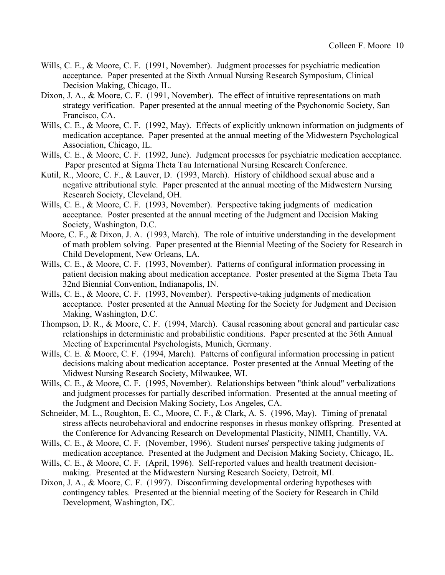- Wills, C. E., & Moore, C. F. (1991, November). Judgment processes for psychiatric medication acceptance. Paper presented at the Sixth Annual Nursing Research Symposium, Clinical Decision Making, Chicago, IL.
- Dixon, J. A., & Moore, C. F. (1991, November). The effect of intuitive representations on math strategy verification. Paper presented at the annual meeting of the Psychonomic Society, San Francisco, CA.
- Wills, C. E., & Moore, C. F. (1992, May). Effects of explicitly unknown information on judgments of medication acceptance. Paper presented at the annual meeting of the Midwestern Psychological Association, Chicago, IL.
- Wills, C. E., & Moore, C. F. (1992, June). Judgment processes for psychiatric medication acceptance. Paper presented at Sigma Theta Tau International Nursing Research Conference.
- Kutil, R., Moore, C. F., & Lauver, D. (1993, March). History of childhood sexual abuse and a negative attributional style. Paper presented at the annual meeting of the Midwestern Nursing Research Society, Cleveland, OH.
- Wills, C. E., & Moore, C. F. (1993, November). Perspective taking judgments of medication acceptance. Poster presented at the annual meeting of the Judgment and Decision Making Society, Washington, D.C.
- Moore, C. F., & Dixon, J. A. (1993, March). The role of intuitive understanding in the development of math problem solving. Paper presented at the Biennial Meeting of the Society for Research in Child Development, New Orleans, LA.
- Wills, C. E., & Moore, C. F. (1993, November). Patterns of configural information processing in patient decision making about medication acceptance. Poster presented at the Sigma Theta Tau 32nd Biennial Convention, Indianapolis, IN.
- Wills, C. E., & Moore, C. F. (1993, November). Perspective-taking judgments of medication acceptance. Poster presented at the Annual Meeting for the Society for Judgment and Decision Making, Washington, D.C.
- Thompson, D. R., & Moore, C. F. (1994, March). Causal reasoning about general and particular case relationships in deterministic and probabilistic conditions. Paper presented at the 36th Annual Meeting of Experimental Psychologists, Munich, Germany.
- Wills, C. E. & Moore, C. F. (1994, March). Patterns of configural information processing in patient decisions making about medication acceptance. Poster presented at the Annual Meeting of the Midwest Nursing Research Society, Milwaukee, WI.
- Wills, C. E., & Moore, C. F. (1995, November). Relationships between "think aloud" verbalizations and judgment processes for partially described information. Presented at the annual meeting of the Judgment and Decision Making Society, Los Angeles, CA.
- Schneider, M. L., Roughton, E. C., Moore, C. F., & Clark, A. S. (1996, May). Timing of prenatal stress affects neurobehavioral and endocrine responses in rhesus monkey offspring. Presented at the Conference for Advancing Research on Developmental Plasticity, NIMH, Chantilly, VA.
- Wills, C. E., & Moore, C. F. (November, 1996). Student nurses' perspective taking judgments of medication acceptance. Presented at the Judgment and Decision Making Society, Chicago, IL.
- Wills, C. E., & Moore, C. F. (April, 1996). Self-reported values and health treatment decisionmaking. Presented at the Midwestern Nursing Research Society, Detroit, MI.
- Dixon, J. A., & Moore, C. F. (1997). Disconfirming developmental ordering hypotheses with contingency tables. Presented at the biennial meeting of the Society for Research in Child Development, Washington, DC.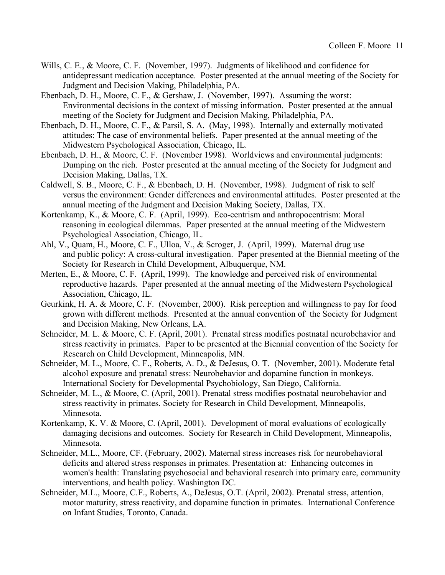- Wills, C. E., & Moore, C. F. (November, 1997). Judgments of likelihood and confidence for antidepressant medication acceptance. Poster presented at the annual meeting of the Society for Judgment and Decision Making, Philadelphia, PA.
- Ebenbach, D. H., Moore, C. F., & Gershaw, J. (November, 1997). Assuming the worst: Environmental decisions in the context of missing information. Poster presented at the annual meeting of the Society for Judgment and Decision Making, Philadelphia, PA.
- Ebenbach, D. H., Moore, C. F., & Parsil, S. A. (May, 1998). Internally and externally motivated attitudes: The case of environmental beliefs. Paper presented at the annual meeting of the Midwestern Psychological Association, Chicago, IL.
- Ebenbach, D. H., & Moore, C. F. (November 1998). Worldviews and environmental judgments: Dumping on the rich. Poster presented at the annual meeting of the Society for Judgment and Decision Making, Dallas, TX.
- Caldwell, S. B., Moore, C. F., & Ebenbach, D. H. (November, 1998). Judgment of risk to self versus the environment: Gender differences and environmental attitudes. Poster presented at the annual meeting of the Judgment and Decision Making Society, Dallas, TX.
- Kortenkamp, K., & Moore, C. F. (April, 1999). Eco-centrism and anthropocentrism: Moral reasoning in ecological dilemmas. Paper presented at the annual meeting of the Midwestern Psychological Association, Chicago, IL.
- Ahl, V., Quam, H., Moore, C. F., Ulloa, V., & Scroger, J. (April, 1999). Maternal drug use and public policy: A cross-cultural investigation. Paper presented at the Biennial meeting of the Society for Research in Child Development, Albuquerque, NM.
- Merten, E., & Moore, C. F. (April, 1999). The knowledge and perceived risk of environmental reproductive hazards. Paper presented at the annual meeting of the Midwestern Psychological Association, Chicago, IL.
- Geurkink, H. A. & Moore, C. F. (November, 2000). Risk perception and willingness to pay for food grown with different methods. Presented at the annual convention of the Society for Judgment and Decision Making, New Orleans, LA.
- Schneider, M. L. & Moore, C. F. (April, 2001). Prenatal stress modifies postnatal neurobehavior and stress reactivity in primates. Paper to be presented at the Biennial convention of the Society for Research on Child Development, Minneapolis, MN.
- Schneider, M. L., Moore, C. F., Roberts, A. D., & DeJesus, O. T. (November, 2001). Moderate fetal alcohol exposure and prenatal stress: Neurobehavior and dopamine function in monkeys. International Society for Developmental Psychobiology, San Diego, California.
- Schneider, M. L., & Moore, C. (April, 2001). Prenatal stress modifies postnatal neurobehavior and stress reactivity in primates. Society for Research in Child Development, Minneapolis, Minnesota.
- Kortenkamp, K. V. & Moore, C. (April, 2001). Development of moral evaluations of ecologically damaging decisions and outcomes. Society for Research in Child Development, Minneapolis, Minnesota.
- Schneider, M.L., Moore, CF. (February, 2002). Maternal stress increases risk for neurobehavioral deficits and altered stress responses in primates. Presentation at: Enhancing outcomes in women's health: Translating psychosocial and behavioral research into primary care, community interventions, and health policy. Washington DC.
- Schneider, M.L., Moore, C.F., Roberts, A., DeJesus, O.T. (April, 2002). Prenatal stress, attention, motor maturity, stress reactivity, and dopamine function in primates. International Conference on Infant Studies, Toronto, Canada.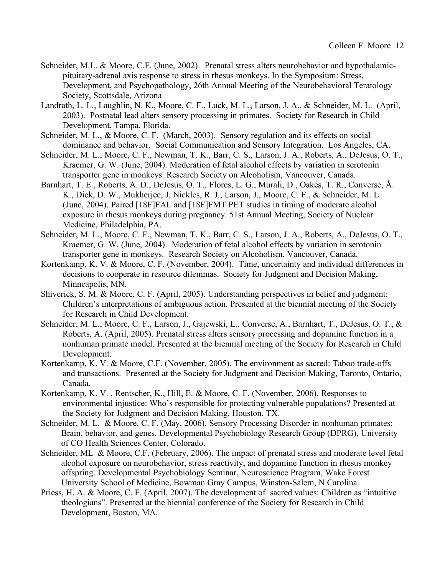- Schneider, M.L. & Moore, C.F. (June, 2002). Prenatal stress alters neurobehavior and hypothalamicpituitary-adrenal axis response to stress in rhesus monkeys. In the Symposium: Stress, Development, and Psychopathology, 26th Annual Meeting of the Neurobehavioral Teratology Society, Scottsdale, Arizona
- Landrath, L. L., Laughlin, N. K., Moore, C. F., Luck, M. L., Larson, J. A., & Schneider, M. L. (April, 2003). Postnatal lead alters sensory processing in primates. Society for Research in Child Development, Tampa, Florida.
- Schneider, M. L., & Moore, C. F. (March, 2003). Sensory regulation and its effects on social dominance and behavior. Social Communication and Sensory Integration. Los Angeles, CA.
- Schneider, M. L., Moore, C. F., Newman, T. K., Barr, C. S., Larson, J. A., Roberts, A., DeJesus, O. T., Kraemer, G. W. (June, 2004). Moderation of fetal alcohol effects by variation in serotonin transporter gene in monkeys. Research Society on Alcoholism, Vancouver, Canada.
- Barnhart, T. E., Roberts, A. D., DeJesus, O. T., Flores, L. G., Murali, D., Oakes, T. R., Converse, Å. K., Dick, D. W., Mukherjee, J, Nickles, R. J., Larson, J., Moore, C. F., & Schneider, M. L. (June, 2004). Paired [18F]FAL and [18F]FMT PET studies in timing of moderate alcohol exposure in rhesus monkeys during pregnancy. 51st Annual Meeting, Society of Nuclear Medicine, Philadelphia, PA.
- Schneider, M. L., Moore, C. F., Newman, T. K., Barr, C. S., Larson, J. A., Roberts, A., DeJesus, O. T., Kraemer, G. W. (June, 2004). Moderation of fetal alcohol effects by variation in serotonin transporter gene in monkeys. Research Society on Alcoholism, Vancouver, Canada.
- Kortenkamp, K. V. & Moore, C. F. (November, 2004). Time, uncertainty and individual differences in decisions to cooperate in resource dilemmas. Society for Judgment and Decision Making, Minneapolis, MN.
- Shiverick, S. M. & Moore, C. F. (April, 2005). Understanding perspectives in belief and judgment: Children's interpretations of ambiguous action. Presented at the biennial meeting of the Society for Research in Child Development.
- Schneider, M. L., Moore, C. F., Larson, J., Gajewski, L., Converse, A., Barnhart, T., DeJesus, O. T., & Roberts, A. (April, 2005). Prenatal stress alters sensory processing and dopamine function in a nonhuman primate model. Presented at the biennial meeting of the Society for Research in Child Development.
- Kortenkamp, K. V. & Moore, C.F. (November, 2005). The environment as sacred: Taboo trade-offs and transactions. Presented at the Society for Judgment and Decision Making, Toronto, Ontario, Canada.
- Kortenkamp, K. V. , Rentscher, K., Hill, E. & Moore, C. F. (November, 2006). Responses to environmental injustice: Who's responsible for protecting vulnerable populations? Presented at the Society for Judgment and Decision Making, Houston, TX.
- Schneider, M. L. & Moore, C. F. (May, 2006). Sensory Processing Disorder in nonhuman primates: Brain, behavior, and genes. Developmental Psychobiology Research Group (DPRG), University of CO Health Sciences Center, Colorado.
- Schneider, ML & Moore, C.F. (February, 2006). The impact of prenatal stress and moderate level fetal alcohol exposure on neurobehavior, stress reactivity, and dopamine function in rhesus monkey offspring. Developmental Psychobiology Seminar, Neuroscience Program, Wake Forest University School of Medicine, Bowman Gray Campus, Winston-Salem, N Carolina.
- Priess, H. A. & Moore, C. F. (April, 2007). The development of sacred values: Children as "intuitive theologians". Presented at the biennial conference of the Society for Research in Child Development, Boston, MA.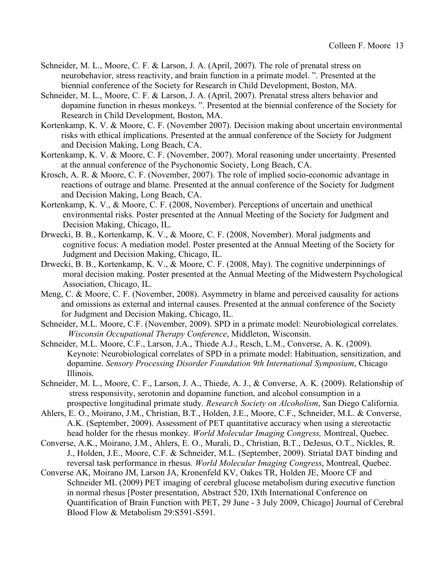- Schneider, M. L., Moore, C. F. & Larson, J. A. (April, 2007). The role of prenatal stress on neurobehavior, stress reactivity, and brain function in a primate model. ". Presented at the biennial conference of the Society for Research in Child Development, Boston, MA.
- Schneider, M. L., Moore, C. F. & Larson, J. A. (April, 2007). Prenatal stress alters behavior and dopamine function in rhesus monkeys. ". Presented at the biennial conference of the Society for Research in Child Development, Boston, MA.
- Kortenkamp, K. V. & Moore, C. F. (November 2007). Decision making about uncertain environmental risks with ethical implications. Presented at the annual conference of the Society for Judgment and Decision Making, Long Beach, CA.
- Kortenkamp, K. V. & Moore, C. F. (November, 2007). Moral reasoning under uncertainty. Presented at the annual conference of the Psychonomic Society, Long Beach, CA.
- Krosch, A. R. & Moore, C. F. (November, 2007). The role of implied socio-economic advantage in reactions of outrage and blame. Presented at the annual conference of the Society for Judgment and Decision Making, Long Beach, CA.
- Kortenkamp, K. V., & Moore, C. F. (2008, November). Perceptions of uncertain and unethical environmental risks. Poster presented at the Annual Meeting of the Society for Judgment and Decision Making, Chicago, IL.
- Drwecki, B. B., Kortenkamp, K. V., & Moore, C. F. (2008, November). Moral judgments and cognitive focus: A mediation model. Poster presented at the Annual Meeting of the Society for Judgment and Decision Making, Chicago, IL.
- Drwecki, B. B., Kortenkamp, K. V., & Moore, C. F. (2008, May). The cognitive underpinnings of moral decision making. Poster presented at the Annual Meeting of the Midwestern Psychological Association, Chicago, IL.
- Meng, C. & Moore, C. F. (November, 2008). Asymmetry in blame and perceived causality for actions and omissions as external and internal causes. Presented at the annual conference of the Society for Judgment and Decision Making, Chicago, IL.
- Schneider, M.L. Moore, C.F. (November, 2009). SPD in a primate model: Neurobiological correlates. *Wisconsin Occupational Therapy Conference*, Middleton, Wisconsin.
- Schneider, M.L. Moore, C.F., Larson, J.A., Thiede A.J., Resch, L.M., Converse, A. K. (2009). Keynote: Neurobiological correlates of SPD in a primate model: Habituation, sensitization, and dopamine. *Sensory Processing Disorder Foundation 9th International Symposium*, Chicago Illinois.
- Schneider, M. L., Moore, C. F., Larson, J. A., Thiede, A. J., & Converse, A. K. (2009). Relationship of stress responsivity, serotonin and dopamine function, and alcohol consumption in a prospective longitudinal primate study. *Research Society on Alcoholism*, San Diego California.
- Ahlers, E. O., Moirano, J.M., Christian, B.T., Holden, J.E., Moore, C.F., Schneider, M.L. & Converse, A.K. (September, 2009). Assessment of PET quantitative accuracy when using a stereotactic head holder for the rhesus monkey. *World Molecular Imaging Congress,* Montreal, Quebec.
- Converse, A.K., Moirano, J.M., Ahlers, E. O., Murali, D., Christian, B.T., DeJesus, O.T., Nickles, R. J., Holden, J.E., Moore, C.F. & Schneider, M.L. (September, 2009). Striatal DAT binding and reversal task performance in rhesus. *World Molecular Imaging Congress*, Montreal, Quebec.
- Converse AK, Moirano JM, Larson JA, Kronenfeld KV, Oakes TR, Holden JE, Moore CF and Schneider ML (2009) PET imaging of cerebral glucose metabolism during executive function in normal rhesus [Poster presentation, Abstract 520, IXth International Conference on Quantification of Brain Function with PET, 29 June - 3 July 2009, Chicago] Journal of Cerebral Blood Flow & Metabolism 29:S591-S591.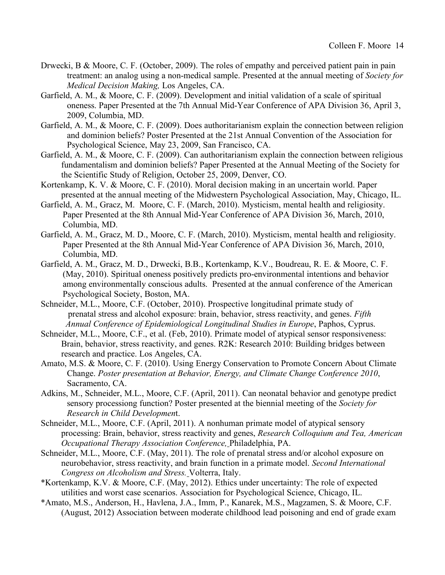- Drwecki, B & Moore, C. F. (October, 2009). The roles of empathy and perceived patient pain in pain treatment: an analog using a non-medical sample. Presented at the annual meeting of *Society for Medical Decision Making,* Los Angeles, CA.
- Garfield, A. M., & Moore, C. F. (2009). Development and initial validation of a scale of spiritual oneness. Paper Presented at the 7th Annual Mid-Year Conference of APA Division 36, April 3, 2009, Columbia, MD.
- Garfield, A. M., & Moore, C. F. (2009). Does authoritarianism explain the connection between religion and dominion beliefs? Poster Presented at the 21st Annual Convention of the Association for Psychological Science, May 23, 2009, San Francisco, CA.
- Garfield, A. M., & Moore, C. F. (2009). Can authoritarianism explain the connection between religious fundamentalism and dominion beliefs? Paper Presented at the Annual Meeting of the Society for the Scientific Study of Religion, October 25, 2009, Denver, CO.
- Kortenkamp, K. V. & Moore, C. F. (2010). Moral decision making in an uncertain world. Paper presented at the annual meeting of the Midwestern Psychological Association, May, Chicago, IL.
- Garfield, A. M., Gracz, M. Moore, C. F. (March, 2010). Mysticism, mental health and religiosity. Paper Presented at the 8th Annual Mid-Year Conference of APA Division 36, March, 2010, Columbia, MD.
- Garfield, A. M., Gracz, M. D., Moore, C. F. (March, 2010). Mysticism, mental health and religiosity. Paper Presented at the 8th Annual Mid-Year Conference of APA Division 36, March, 2010, Columbia, MD.
- Garfield, A. M., Gracz, M. D., Drwecki, B.B., Kortenkamp, K.V., Boudreau, R. E. & Moore, C. F. (May, 2010). Spiritual oneness positively predicts pro-environmental intentions and behavior among environmentally conscious adults. Presented at the annual conference of the American Psychological Society, Boston, MA.
- Schneider, M.L., Moore, C.F. (October, 2010). Prospective longitudinal primate study of prenatal stress and alcohol exposure: brain, behavior, stress reactivity, and genes. *Fifth Annual Conference of Epidemiological Longitudinal Studies in Europe*, Paphos, Cyprus.
- Schneider, M.L., Moore, C.F., et al. (Feb, 2010). Primate model of atypical sensor responsiveness: Brain, behavior, stress reactivity, and genes. R2K: Research 2010: Building bridges between research and practice. Los Angeles, CA.
- Amato, M.S. & Moore, C. F. (2010). Using Energy Conservation to Promote Concern About Climate Change. *Poster presentation at Behavior, Energy, and Climate Change Conference 2010*, Sacramento, CA.
- Adkins, M., Schneider, M.L., Moore, C.F. (April, 2011). Can neonatal behavior and genotype predict sensory processiong function? Poster presented at the biennial meeting of the *Society for Research in Child Developmen*t.
- Schneider, M.L., Moore, C.F. (April, 2011). A nonhuman primate model of atypical sensory processing: Brain, behavior, stress reactivity and genes, *Research Colloquium and Tea, American Occupational Therapy Association Conference,* Philadelphia, PA.
- Schneider, M.L., Moore, C.F. (May, 2011). The role of prenatal stress and/or alcohol exposure on neurobehavior, stress reactivity, and brain function in a primate model. *Second International Congress on Alcoholism and Stress.* Volterra, Italy.
- \*Kortenkamp, K.V. & Moore, C.F. (May, 2012). Ethics under uncertainty: The role of expected utilities and worst case scenarios. Association for Psychological Science, Chicago, IL.
- \*Amato, M.S., Anderson, H., Havlena, J.A., Imm, P., Kanarek, M.S., Magzamen, S. & Moore, C.F. (August, 2012) Association between moderate childhood lead poisoning and end of grade exam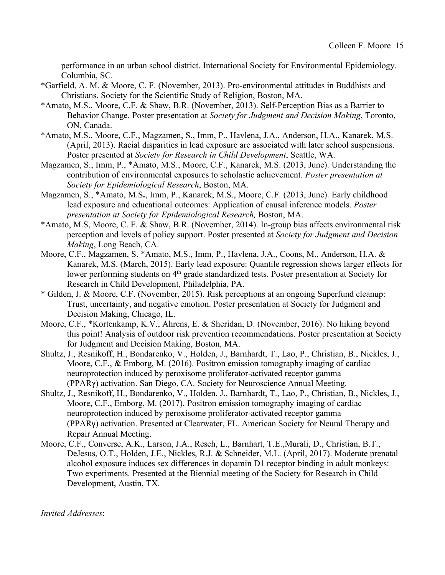performance in an urban school district. International Society for Environmental Epidemiology. Columbia, SC.

- \*Garfield, A. M. & Moore, C. F. (November, 2013). Pro-environmental attitudes in Buddhists and Christians. Society for the Scientific Study of Religion, Boston, MA.
- \*Amato, M.S., Moore, C.F. & Shaw, B.R. (November, 2013). Self-Perception Bias as a Barrier to Behavior Change. Poster presentation at *Society for Judgment and Decision Making*, Toronto, ON, Canada.
- \*Amato, M.S., Moore, C.F., Magzamen, S., Imm, P., Havlena, J.A., Anderson, H.A., Kanarek, M.S. (April, 2013). Racial disparities in lead exposure are associated with later school suspensions. Poster presented at *Society for Research in Child Development*, Seattle, WA.
- Magzamen, S., Imm, P., \*Amato, M.S., Moore, C.F., Kanarek, M.S. (2013, June). Understanding the contribution of environmental exposures to scholastic achievement. *Poster presentation at Society for Epidemiological Research*, Boston, MA.
- Magzamen, S., \*Amato, M.S**.**, Imm, P., Kanarek, M.S., Moore, C.F. (2013, June). Early childhood lead exposure and educational outcomes: Application of causal inference models. *Poster presentation at Society for Epidemiological Research,* Boston, MA.
- \*Amato, M.S, Moore, C. F. & Shaw, B.R. (November, 2014). In-group bias affects environmental risk perception and levels of policy support. Poster presented at *Society for Judgment and Decision Making*, Long Beach, CA.
- Moore, C.F., Magzamen, S. \*Amato, M.S., Imm, P., Havlena, J.A., Coons, M., Anderson, H.A. & Kanarek, M.S. (March, 2015). Early lead exposure: Quantile regression shows larger effects for lower performing students on 4<sup>th</sup> grade standardized tests. Poster presentation at Society for Research in Child Development, Philadelphia, PA.
- \* Gilden, J. & Moore, C.F. (November, 2015). Risk perceptions at an ongoing Superfund cleanup: Trust, uncertainty, and negative emotion. Poster presentation at Society for Judgment and Decision Making, Chicago, IL.
- Moore, C.F., \*Kortenkamp, K.V., Ahrens, E. & Sheridan, D. (November, 2016). No hiking beyond this point! Analysis of outdoor risk prevention recommendations. Poster presentation at Society for Judgment and Decision Making, Boston, MA.
- Shultz, J., Resnikoff, H., Bondarenko, V., Holden, J., Barnhardt, T., Lao, P., Christian, B., Nickles, J., Moore, C.F., & Emborg, M. (2016). Positron emission tomography imaging of cardiac neuroprotection induced by peroxisome proliferator-activated receptor gamma (PPARγ) activation. San Diego, CA. Society for Neuroscience Annual Meeting.
- Shultz, J., Resnikoff, H., Bondarenko, V., Holden, J., Barnhardt, T., Lao, P., Christian, B., Nickles, J., Moore, C.F., Emborg, M. (2017). Positron emission tomography imaging of cardiac neuroprotection induced by peroxisome proliferator-activated receptor gamma (PPARγ) activation. Presented at Clearwater, FL. American Society for Neural Therapy and Repair Annual Meeting.
- Moore, C.F., Converse, A.K., Larson, J.A., Resch, L., Barnhart, T.E.,Murali, D., Christian, B.T., DeJesus, O.T., Holden, J.E., Nickles, R.J. & Schneider, M.L. (April, 2017). Moderate prenatal alcohol exposure induces sex differences in dopamin D1 receptor binding in adult monkeys: Two experiments. Presented at the Biennial meeting of the Society for Research in Child Development, Austin, TX.

*Invited Addresses*: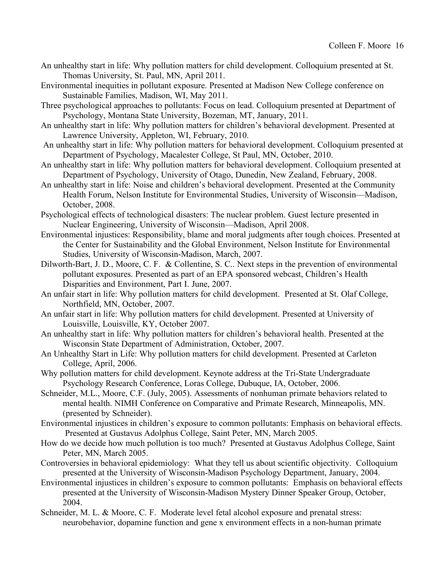- An unhealthy start in life: Why pollution matters for child development. Colloquium presented at St. Thomas University, St. Paul, MN, April 2011.
- Environmental inequities in pollutant exposure. Presented at Madison New College conference on Sustainable Families, Madison, WI, May 2011.
- Three psychological approaches to pollutants: Focus on lead. Colloquium presented at Department of Psychology, Montana State University, Bozeman, MT, January, 2011.
- An unhealthy start in life: Why pollution matters for children's behavioral development. Presented at Lawrence University, Appleton, WI, February, 2010.
- An unhealthy start in life: Why pollution matters for behavioral development. Colloquium presented at Department of Psychology, Macalester College, St Paul, MN, October, 2010.
- An unhealthy start in life: Why pollution matters for behavioral development. Colloquium presented at Department of Psychology, University of Otago, Dunedin, New Zealand, February, 2008.
- An unhealthy start in life: Noise and children's behavioral development. Presented at the Community Health Forum, Nelson Institute for Environmental Studies, University of Wisconsin—Madison, October, 2008.
- Psychological effects of technological disasters: The nuclear problem. Guest lecture presented in Nuclear Engineering, University of Wisconsin—Madison, April 2008.
- Environmental injustices: Responsibility, blame and moral judgments after tough choices. Presented at the Center for Sustainability and the Global Environment, Nelson Institute for Environmental Studies, University of Wisconsin-Madison, March, 2007.
- Dilworth-Bart, J. D., Moore, C. F. & Collentine, S. C.. Next steps in the prevention of environmental pollutant exposures. Presented as part of an EPA sponsored webcast, Children's Health Disparities and Environment, Part I. June, 2007.
- An unfair start in life: Why pollution matters for child development. Presented at St. Olaf College, Northfield, MN, October, 2007.
- An unfair start in life: Why pollution matters for child development. Presented at University of Louisville, Louisville, KY, October 2007.
- An unhealthy start in life: Why pollution matters for children's behavioral health. Presented at the Wisconsin State Department of Administration, October, 2007.
- An Unhealthy Start in Life: Why pollution matters for child development. Presented at Carleton College, April, 2006.
- Why pollution matters for child development. Keynote address at the Tri-State Undergraduate Psychology Research Conference, Loras College, Dubuque, IA, October, 2006.
- Schneider, M.L., Moore, C.F. (July, 2005). Assessments of nonhuman primate behaviors related to mental health. NIMH Conference on Comparative and Primate Research, Minneapolis, MN. (presented by Schneider).
- Environmental injustices in children's exposure to common pollutants: Emphasis on behavioral effects. Presented at Gustavus Adolphus College, Saint Peter, MN, March 2005.
- How do we decide how much pollution is too much? Presented at Gustavus Adolphus College, Saint Peter, MN, March 2005.
- Controversies in behavioral epidemiology: What they tell us about scientific objectivity. Colloquium presented at the University of Wisconsin-Madison Psychology Department, January, 2004.
- Environmental injustices in children's exposure to common pollutants: Emphasis on behavioral effects presented at the University of Wisconsin-Madison Mystery Dinner Speaker Group, October, 2004.
- Schneider, M. L. & Moore, C. F. Moderate level fetal alcohol exposure and prenatal stress: neurobehavior, dopamine function and gene x environment effects in a non-human primate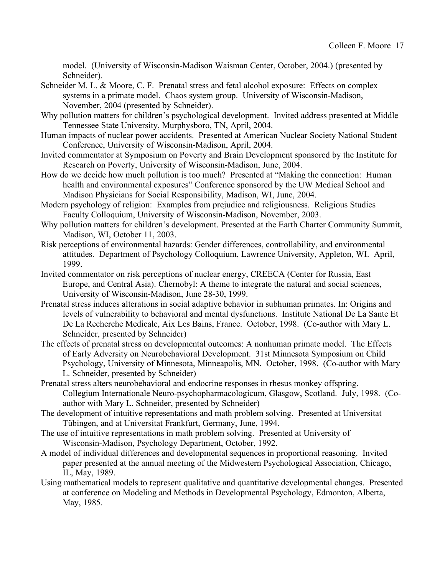model. (University of Wisconsin-Madison Waisman Center, October, 2004.) (presented by Schneider).

- Schneider M. L. & Moore, C. F. Prenatal stress and fetal alcohol exposure: Effects on complex systems in a primate model. Chaos system group. University of Wisconsin-Madison, November, 2004 (presented by Schneider).
- Why pollution matters for children's psychological development. Invited address presented at Middle Tennessee State University, Murphysboro, TN, April, 2004.
- Human impacts of nuclear power accidents. Presented at American Nuclear Society National Student Conference, University of Wisconsin-Madison, April, 2004.
- Invited commentator at Symposium on Poverty and Brain Development sponsored by the Institute for Research on Poverty, University of Wisconsin-Madison, June, 2004.
- How do we decide how much pollution is too much? Presented at "Making the connection: Human health and environmental exposures" Conference sponsored by the UW Medical School and Madison Physicians for Social Responsibility, Madison, WI, June, 2004.
- Modern psychology of religion: Examples from prejudice and religiousness. Religious Studies Faculty Colloquium, University of Wisconsin-Madison, November, 2003.
- Why pollution matters for children's development. Presented at the Earth Charter Community Summit, Madison, WI, October 11, 2003.
- Risk perceptions of environmental hazards: Gender differences, controllability, and environmental attitudes. Department of Psychology Colloquium, Lawrence University, Appleton, WI. April, 1999.
- Invited commentator on risk perceptions of nuclear energy, CREECA (Center for Russia, East Europe, and Central Asia). Chernobyl: A theme to integrate the natural and social sciences, University of Wisconsin-Madison, June 28-30, 1999.
- Prenatal stress induces alterations in social adaptive behavior in subhuman primates. In: Origins and levels of vulnerability to behavioral and mental dysfunctions. Institute National De La Sante Et De La Recherche Medicale, Aix Les Bains, France. October, 1998. (Co-author with Mary L. Schneider, presented by Schneider)
- The effects of prenatal stress on developmental outcomes: A nonhuman primate model. The Effects of Early Adversity on Neurobehavioral Development. 31st Minnesota Symposium on Child Psychology, University of Minnesota, Minneapolis, MN. October, 1998. (Co-author with Mary L. Schneider, presented by Schneider)
- Prenatal stress alters neurobehavioral and endocrine responses in rhesus monkey offspring. Collegium Internationale Neuro-psychopharmacologicum, Glasgow, Scotland. July, 1998. (Coauthor with Mary L. Schneider, presented by Schneider)
- The development of intuitive representations and math problem solving. Presented at Universitat Tübingen, and at Universitat Frankfurt, Germany, June, 1994.
- The use of intuitive representations in math problem solving. Presented at University of Wisconsin-Madison, Psychology Department, October, 1992.
- A model of individual differences and developmental sequences in proportional reasoning. Invited paper presented at the annual meeting of the Midwestern Psychological Association, Chicago, IL, May, 1989.
- Using mathematical models to represent qualitative and quantitative developmental changes. Presented at conference on Modeling and Methods in Developmental Psychology, Edmonton, Alberta, May, 1985.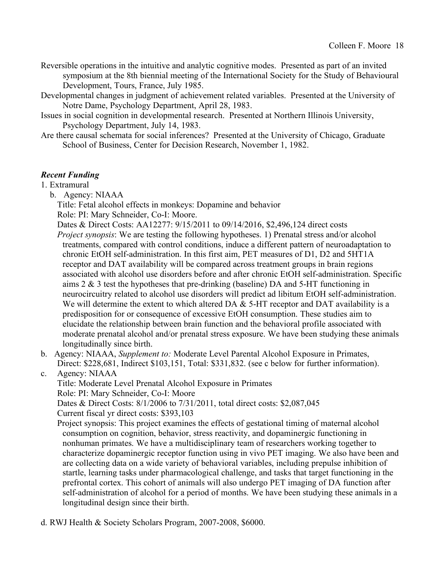- Reversible operations in the intuitive and analytic cognitive modes. Presented as part of an invited symposium at the 8th biennial meeting of the International Society for the Study of Behavioural Development, Tours, France, July 1985.
- Developmental changes in judgment of achievement related variables. Presented at the University of Notre Dame, Psychology Department, April 28, 1983.
- Issues in social cognition in developmental research. Presented at Northern Illinois University, Psychology Department, July 14, 1983.
- Are there causal schemata for social inferences? Presented at the University of Chicago, Graduate School of Business, Center for Decision Research, November 1, 1982.

# *Recent Funding*

1. Extramural

- b. Agency: NIAAA
	- Title: Fetal alcohol effects in monkeys: Dopamine and behavior
	- Role: PI: Mary Schneider, Co-I: Moore.
	- Dates & Direct Costs: AA12277: 9/15/2011 to 09/14/2016, \$2,496,124 direct costs *Project synopsis*: We are testing the following hypotheses. 1) Prenatal stress and/or alcohol treatments, compared with control conditions, induce a different pattern of neuroadaptation to chronic EtOH self-administration. In this first aim, PET measures of D1, D2 and 5HT1A receptor and DAT availability will be compared across treatment groups in brain regions associated with alcohol use disorders before and after chronic EtOH self-administration. Specific aims 2 & 3 test the hypotheses that pre-drinking (baseline) DA and 5-HT functioning in neurocircuitry related to alcohol use disorders will predict ad libitum EtOH self-administration. We will determine the extent to which altered DA  $&$  5-HT receptor and DAT availability is a predisposition for or consequence of excessive EtOH consumption. These studies aim to elucidate the relationship between brain function and the behavioral profile associated with moderate prenatal alcohol and/or prenatal stress exposure. We have been studying these animals longitudinally since birth.
- b. Agency: NIAAA, *Supplement to:* Moderate Level Parental Alcohol Exposure in Primates, Direct: \$228,681, Indirect \$103,151, Total: \$331,832. (see c below for further information).
- c. Agency: NIAAA

Title: Moderate Level Prenatal Alcohol Exposure in Primates

Role: PI: Mary Schneider, Co-I: Moore

Dates & Direct Costs: 8/1/2006 to 7/31/2011, total direct costs: \$2,087,045 Current fiscal yr direct costs: \$393,103

Project synopsis: This project examines the effects of gestational timing of maternal alcohol consumption on cognition, behavior, stress reactivity, and dopaminergic functioning in nonhuman primates. We have a multidisciplinary team of researchers working together to characterize dopaminergic receptor function using in vivo PET imaging. We also have been and are collecting data on a wide variety of behavioral variables, including prepulse inhibition of startle, learning tasks under pharmacological challenge, and tasks that target functioning in the prefrontal cortex. This cohort of animals will also undergo PET imaging of DA function after self-administration of alcohol for a period of months. We have been studying these animals in a longitudinal design since their birth.

d. RWJ Health & Society Scholars Program, 2007-2008, \$6000.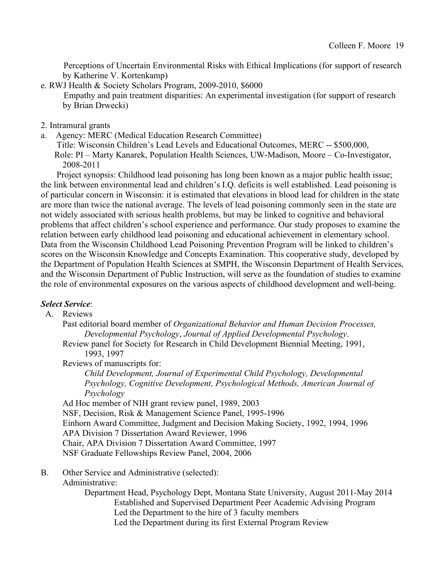Perceptions of Uncertain Environmental Risks with Ethical Implications (for support of research by Katherine V. Kortenkamp)

e. RWJ Health & Society Scholars Program, 2009-2010, \$6000

Empathy and pain treatment disparities: An experimental investigation (for support of research by Brian Drwecki)

- 2. Intramural grants
- a. Agency: MERC (Medical Education Research Committee)
	- Title: Wisconsin Children's Lead Levels and Educational Outcomes, MERC -- \$500,000,

 Role: PI – Marty Kanarek, Population Health Sciences, UW-Madison, Moore – Co-Investigator, 2008-2011

 Project synopsis: Childhood lead poisoning has long been known as a major public health issue; the link between environmental lead and children's I.Q. deficits is well established. Lead poisoning is of particular concern in Wisconsin: it is estimated that elevations in blood lead for children in the state are more than twice the national average. The levels of lead poisoning commonly seen in the state are not widely associated with serious health problems, but may be linked to cognitive and behavioral problems that affect children's school experience and performance. Our study proposes to examine the relation between early childhood lead poisoning and educational achievement in elementary school. Data from the Wisconsin Childhood Lead Poisoning Prevention Program will be linked to children's scores on the Wisconsin Knowledge and Concepts Examination. This cooperative study, developed by the Department of Population Health Sciences at SMPH, the Wisconsin Department of Health Services, and the Wisconsin Department of Public Instruction, will serve as the foundation of studies to examine the role of environmental exposures on the various aspects of childhood development and well-being.

## *Select Service*:

#### A. Reviews

Past editorial board member of *Organizational Behavior and Human Decision Processes, Developmental Psychology*, *Journal of Applied Developmental Psychology*.

Review panel for Society for Research in Child Development Biennial Meeting, 1991, 1993, 1997

Reviews of manuscripts for:

*Child Development, Journal of Experimental Child Psychology, Developmental Psychology, Cognitive Development, Psychological Methods, American Journal of Psychology*

Ad Hoc member of NIH grant review panel, 1989, 2003 NSF, Decision, Risk & Management Science Panel, 1995-1996 Einhorn Award Committee, Judgment and Decision Making Society, 1992, 1994, 1996 APA Division 7 Dissertation Award Reviewer, 1996 Chair, APA Division 7 Dissertation Award Committee, 1997 NSF Graduate Fellowships Review Panel, 2004, 2006

B. Other Service and Administrative (selected):

Administrative:

Department Head, Psychology Dept, Montana State University, August 2011-May 2014 Established and Supervised Department Peer Academic Advising Program Led the Department to the hire of 3 faculty members Led the Department during its first External Program Review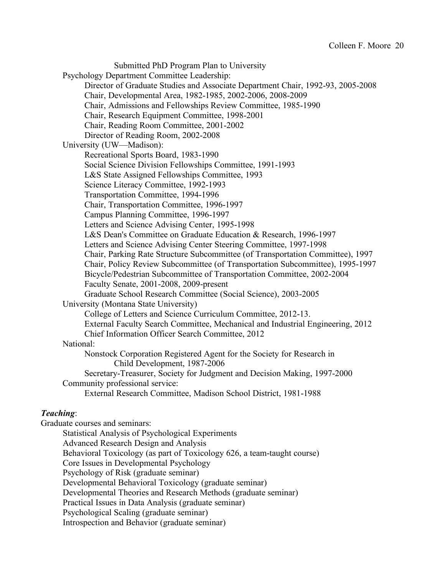Submitted PhD Program Plan to University Psychology Department Committee Leadership: Director of Graduate Studies and Associate Department Chair, 1992-93, 2005-2008 Chair, Developmental Area, 1982-1985, 2002-2006, 2008-2009 Chair, Admissions and Fellowships Review Committee, 1985-1990 Chair, Research Equipment Committee, 1998-2001 Chair, Reading Room Committee, 2001-2002 Director of Reading Room, 2002-2008 University (UW—Madison): Recreational Sports Board, 1983-1990 Social Science Division Fellowships Committee, 1991-1993 L&S State Assigned Fellowships Committee, 1993 Science Literacy Committee, 1992-1993 Transportation Committee, 1994-1996 Chair, Transportation Committee, 1996-1997 Campus Planning Committee, 1996-1997 Letters and Science Advising Center, 1995-1998 L&S Dean's Committee on Graduate Education & Research, 1996-1997 Letters and Science Advising Center Steering Committee, 1997-1998 Chair, Parking Rate Structure Subcommittee (of Transportation Committee), 1997 Chair, Policy Review Subcommittee (of Transportation Subcommittee), 1995-1997 Bicycle/Pedestrian Subcommittee of Transportation Committee, 2002-2004 Faculty Senate, 2001-2008, 2009-present Graduate School Research Committee (Social Science), 2003-2005 University (Montana State University) College of Letters and Science Curriculum Committee, 2012-13. External Faculty Search Committee, Mechanical and Industrial Engineering, 2012 Chief Information Officer Search Committee, 2012 National: Nonstock Corporation Registered Agent for the Society for Research in Child Development, 1987-2006 Secretary-Treasurer, Society for Judgment and Decision Making, 1997-2000 Community professional service: External Research Committee, Madison School District, 1981-1988 *Teaching*: Graduate courses and seminars: Statistical Analysis of Psychological Experiments Advanced Research Design and Analysis Behavioral Toxicology (as part of Toxicology 626, a team-taught course) Core Issues in Developmental Psychology Psychology of Risk (graduate seminar) Developmental Behavioral Toxicology (graduate seminar) Developmental Theories and Research Methods (graduate seminar)

Practical Issues in Data Analysis (graduate seminar)

Psychological Scaling (graduate seminar)

Introspection and Behavior (graduate seminar)